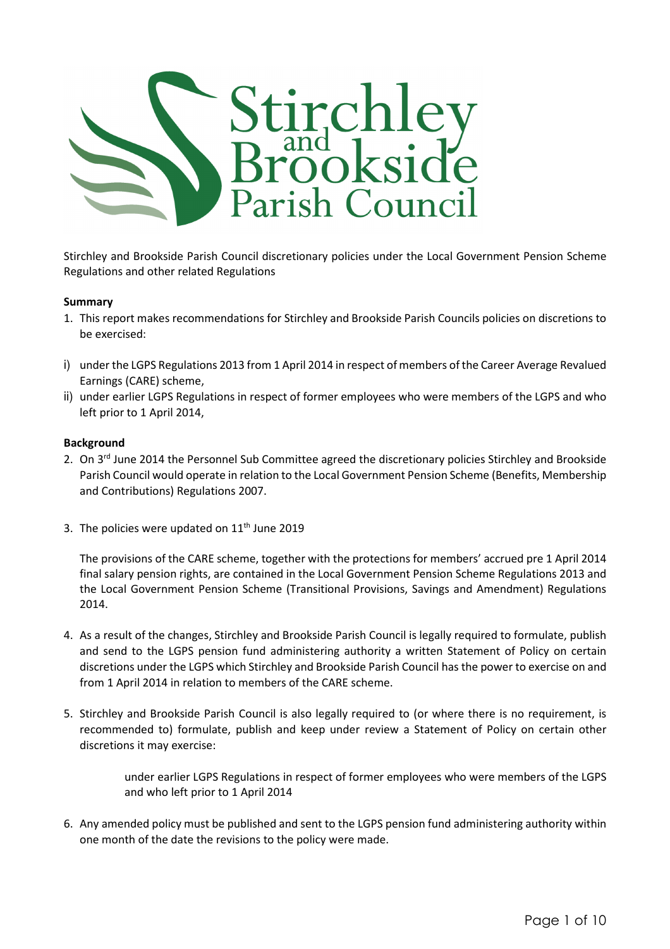

Stirchley and Brookside Parish Council discretionary policies under the Local Government Pension Scheme Regulations and other related Regulations

## Summary

- 1. This report makes recommendations for Stirchley and Brookside Parish Councils policies on discretions to be exercised:
- i) under the LGPS Regulations 2013 from 1 April 2014 in respect of members of the Career Average Revalued Earnings (CARE) scheme,
- ii) under earlier LGPS Regulations in respect of former employees who were members of the LGPS and who left prior to 1 April 2014,

#### Background

- 2. On 3<sup>rd</sup> June 2014 the Personnel Sub Committee agreed the discretionary policies Stirchley and Brookside Parish Council would operate in relation to the Local Government Pension Scheme (Benefits, Membership and Contributions) Regulations 2007.
- 3. The policies were updated on  $11<sup>th</sup>$  June 2019

The provisions of the CARE scheme, together with the protections for members' accrued pre 1 April 2014 final salary pension rights, are contained in the Local Government Pension Scheme Regulations 2013 and the Local Government Pension Scheme (Transitional Provisions, Savings and Amendment) Regulations 2014.

- 4. As a result of the changes, Stirchley and Brookside Parish Council is legally required to formulate, publish and send to the LGPS pension fund administering authority a written Statement of Policy on certain discretions under the LGPS which Stirchley and Brookside Parish Council has the power to exercise on and from 1 April 2014 in relation to members of the CARE scheme.
- 5. Stirchley and Brookside Parish Council is also legally required to (or where there is no requirement, is recommended to) formulate, publish and keep under review a Statement of Policy on certain other discretions it may exercise:

under earlier LGPS Regulations in respect of former employees who were members of the LGPS and who left prior to 1 April 2014

6. Any amended policy must be published and sent to the LGPS pension fund administering authority within one month of the date the revisions to the policy were made.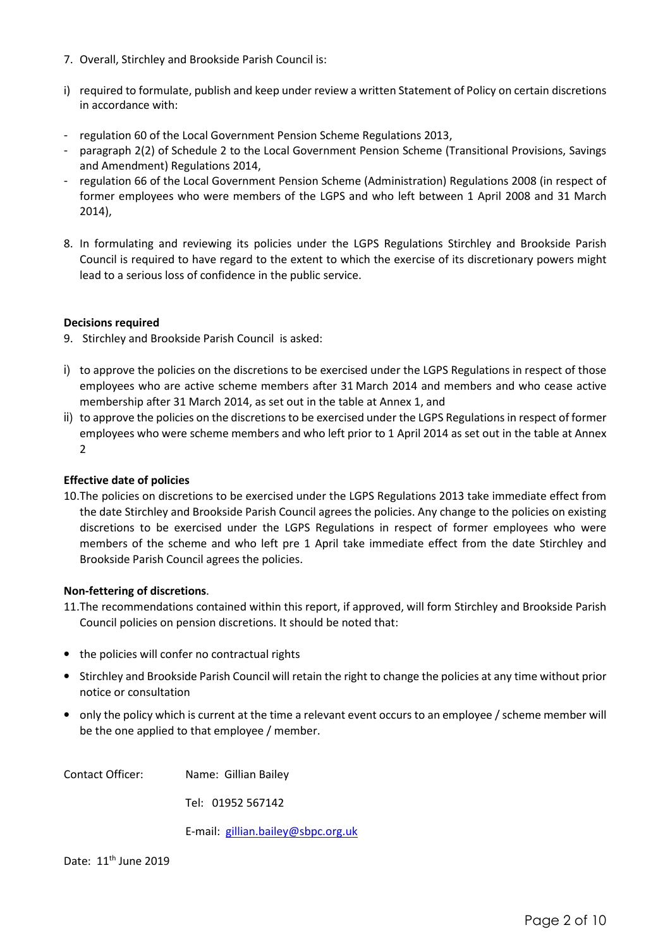- 7. Overall, Stirchley and Brookside Parish Council is:
- i) required to formulate, publish and keep under review a written Statement of Policy on certain discretions in accordance with:
- regulation 60 of the Local Government Pension Scheme Regulations 2013,
- paragraph 2(2) of Schedule 2 to the Local Government Pension Scheme (Transitional Provisions, Savings and Amendment) Regulations 2014,
- regulation 66 of the Local Government Pension Scheme (Administration) Regulations 2008 (in respect of former employees who were members of the LGPS and who left between 1 April 2008 and 31 March 2014),
- 8. In formulating and reviewing its policies under the LGPS Regulations Stirchley and Brookside Parish Council is required to have regard to the extent to which the exercise of its discretionary powers might lead to a serious loss of confidence in the public service.

# Decisions required

- 9. Stirchley and Brookside Parish Council is asked:
- i) to approve the policies on the discretions to be exercised under the LGPS Regulations in respect of those employees who are active scheme members after 31 March 2014 and members and who cease active membership after 31 March 2014, as set out in the table at Annex 1, and
- ii) to approve the policies on the discretions to be exercised under the LGPS Regulations in respect of former employees who were scheme members and who left prior to 1 April 2014 as set out in the table at Annex 2

## Effective date of policies

10.The policies on discretions to be exercised under the LGPS Regulations 2013 take immediate effect from the date Stirchley and Brookside Parish Council agrees the policies. Any change to the policies on existing discretions to be exercised under the LGPS Regulations in respect of former employees who were members of the scheme and who left pre 1 April take immediate effect from the date Stirchley and Brookside Parish Council agrees the policies.

## Non-fettering of discretions.

- 11.The recommendations contained within this report, if approved, will form Stirchley and Brookside Parish Council policies on pension discretions. It should be noted that:
- the policies will confer no contractual rights
- Stirchley and Brookside Parish Council will retain the right to change the policies at any time without prior notice or consultation
- only the policy which is current at the time a relevant event occurs to an employee / scheme member will be the one applied to that employee / member.

Contact Officer: Name: Gillian Bailey

Tel: 01952 567142

E-mail: gillian.bailey@sbpc.org.uk

Date: 11<sup>th</sup> June 2019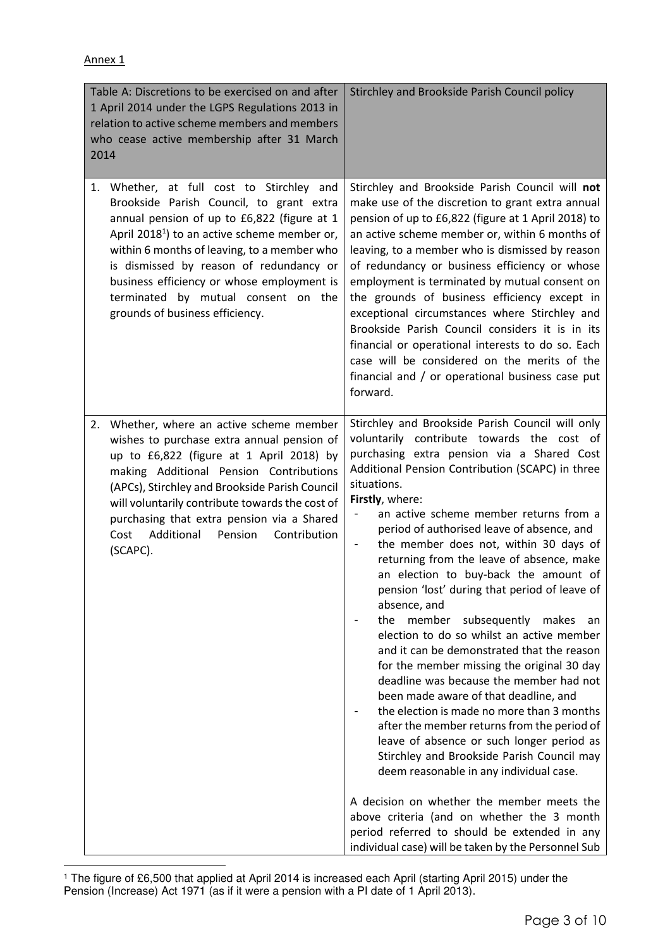| Table A: Discretions to be exercised on and after<br>1 April 2014 under the LGPS Regulations 2013 in<br>relation to active scheme members and members<br>who cease active membership after 31 March<br>2014                                                                                                                                                                                                        | Stirchley and Brookside Parish Council policy                                                                                                                                                                                                                                                                                                                                                                                                                                                                                                                                                                                                                                                                                                                                                                                                                                                                                                                                                                                                                                                                                                                                                                                               |
|--------------------------------------------------------------------------------------------------------------------------------------------------------------------------------------------------------------------------------------------------------------------------------------------------------------------------------------------------------------------------------------------------------------------|---------------------------------------------------------------------------------------------------------------------------------------------------------------------------------------------------------------------------------------------------------------------------------------------------------------------------------------------------------------------------------------------------------------------------------------------------------------------------------------------------------------------------------------------------------------------------------------------------------------------------------------------------------------------------------------------------------------------------------------------------------------------------------------------------------------------------------------------------------------------------------------------------------------------------------------------------------------------------------------------------------------------------------------------------------------------------------------------------------------------------------------------------------------------------------------------------------------------------------------------|
| 1. Whether, at full cost to Stirchley and<br>Brookside Parish Council, to grant extra<br>annual pension of up to £6,822 (figure at 1<br>April 2018 <sup>1</sup> ) to an active scheme member or,<br>within 6 months of leaving, to a member who<br>is dismissed by reason of redundancy or<br>business efficiency or whose employment is<br>terminated by mutual consent on the<br>grounds of business efficiency. | Stirchley and Brookside Parish Council will not<br>make use of the discretion to grant extra annual<br>pension of up to £6,822 (figure at 1 April 2018) to<br>an active scheme member or, within 6 months of<br>leaving, to a member who is dismissed by reason<br>of redundancy or business efficiency or whose<br>employment is terminated by mutual consent on<br>the grounds of business efficiency except in<br>exceptional circumstances where Stirchley and<br>Brookside Parish Council considers it is in its<br>financial or operational interests to do so. Each<br>case will be considered on the merits of the<br>financial and / or operational business case put<br>forward.                                                                                                                                                                                                                                                                                                                                                                                                                                                                                                                                                  |
| Whether, where an active scheme member<br>2.<br>wishes to purchase extra annual pension of<br>up to £6,822 (figure at 1 April 2018) by<br>making Additional Pension Contributions<br>(APCs), Stirchley and Brookside Parish Council<br>will voluntarily contribute towards the cost of<br>purchasing that extra pension via a Shared<br>Additional Pension<br>Contribution<br>Cost<br>(SCAPC).                     | Stirchley and Brookside Parish Council will only<br>voluntarily contribute towards the cost of<br>purchasing extra pension via a Shared Cost<br>Additional Pension Contribution (SCAPC) in three<br>situations.<br>Firstly, where:<br>an active scheme member returns from a<br>period of authorised leave of absence, and<br>the member does not, within 30 days of<br>returning from the leave of absence, make<br>an election to buy-back the amount of<br>pension 'lost' during that period of leave of<br>absence, and<br>member<br>subsequently makes<br>the<br>an<br>election to do so whilst an active member<br>and it can be demonstrated that the reason<br>for the member missing the original 30 day<br>deadline was because the member had not<br>been made aware of that deadline, and<br>the election is made no more than 3 months<br>after the member returns from the period of<br>leave of absence or such longer period as<br>Stirchley and Brookside Parish Council may<br>deem reasonable in any individual case.<br>A decision on whether the member meets the<br>above criteria (and on whether the 3 month<br>period referred to should be extended in any<br>individual case) will be taken by the Personnel Sub |

 1 The figure of £6,500 that applied at April 2014 is increased each April (starting April 2015) under the Pension (Increase) Act 1971 (as if it were a pension with a PI date of 1 April 2013).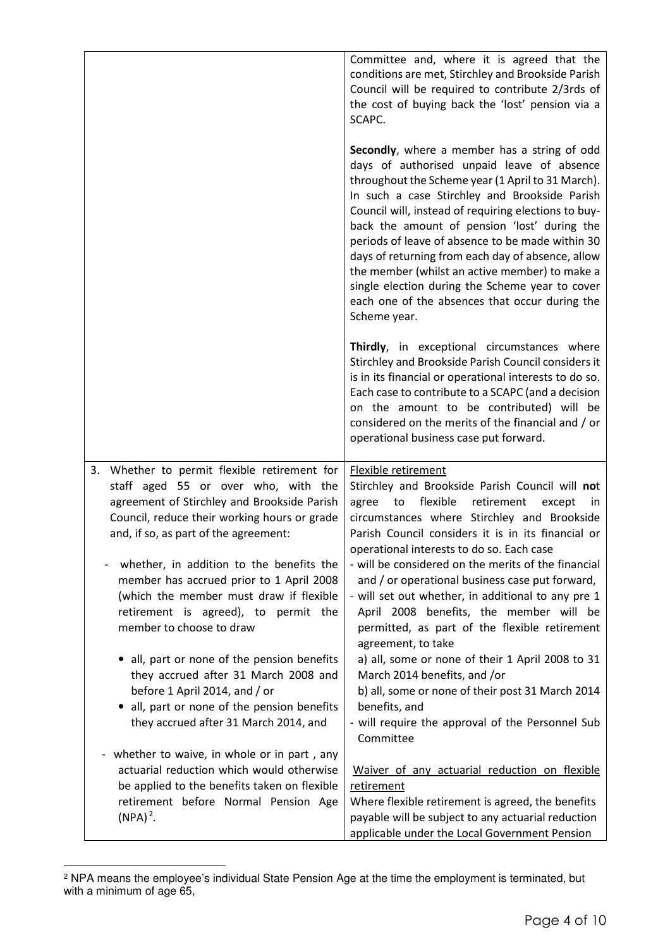|                                                                                                                                                                                                                                                                                                                                                                                                                                                                                                                                                                                  | Committee and, where it is agreed that the<br>conditions are met, Stirchley and Brookside Parish<br>Council will be required to contribute 2/3rds of<br>the cost of buying back the 'lost' pension via a<br>SCAPC.                                                                                                                                                                                                                                                                                                                                                                                                                                                                                          |
|----------------------------------------------------------------------------------------------------------------------------------------------------------------------------------------------------------------------------------------------------------------------------------------------------------------------------------------------------------------------------------------------------------------------------------------------------------------------------------------------------------------------------------------------------------------------------------|-------------------------------------------------------------------------------------------------------------------------------------------------------------------------------------------------------------------------------------------------------------------------------------------------------------------------------------------------------------------------------------------------------------------------------------------------------------------------------------------------------------------------------------------------------------------------------------------------------------------------------------------------------------------------------------------------------------|
|                                                                                                                                                                                                                                                                                                                                                                                                                                                                                                                                                                                  | Secondly, where a member has a string of odd<br>days of authorised unpaid leave of absence<br>throughout the Scheme year (1 April to 31 March).<br>In such a case Stirchley and Brookside Parish<br>Council will, instead of requiring elections to buy-<br>back the amount of pension 'lost' during the<br>periods of leave of absence to be made within 30<br>days of returning from each day of absence, allow<br>the member (whilst an active member) to make a<br>single election during the Scheme year to cover<br>each one of the absences that occur during the<br>Scheme year.                                                                                                                    |
|                                                                                                                                                                                                                                                                                                                                                                                                                                                                                                                                                                                  | Thirdly, in exceptional circumstances where<br>Stirchley and Brookside Parish Council considers it<br>is in its financial or operational interests to do so.<br>Each case to contribute to a SCAPC (and a decision<br>on the amount to be contributed) will be<br>considered on the merits of the financial and / or<br>operational business case put forward.                                                                                                                                                                                                                                                                                                                                              |
| Whether to permit flexible retirement for<br>3.<br>staff aged 55 or over who, with the<br>agreement of Stirchley and Brookside Parish<br>Council, reduce their working hours or grade<br>and, if so, as part of the agreement:<br>whether, in addition to the benefits the<br>$\qquad \qquad -$<br>member has accrued prior to 1 April 2008<br>(which the member must draw if flexible<br>retirement is agreed), to permit the<br>member to choose to draw<br>all, part or none of the pension benefits<br>they accrued after 31 March 2008 and<br>before 1 April 2014, and / or | Flexible retirement<br>Stirchley and Brookside Parish Council will not<br>flexible<br>retirement<br>agree<br>to<br>except<br>in<br>circumstances where Stirchley and Brookside<br>Parish Council considers it is in its financial or<br>operational interests to do so. Each case<br>- will be considered on the merits of the financial<br>and / or operational business case put forward,<br>- will set out whether, in additional to any pre 1<br>April 2008 benefits, the member will be<br>permitted, as part of the flexible retirement<br>agreement, to take<br>a) all, some or none of their 1 April 2008 to 31<br>March 2014 benefits, and /or<br>b) all, some or none of their post 31 March 2014 |
| all, part or none of the pension benefits<br>they accrued after 31 March 2014, and                                                                                                                                                                                                                                                                                                                                                                                                                                                                                               | benefits, and<br>- will require the approval of the Personnel Sub<br>Committee                                                                                                                                                                                                                                                                                                                                                                                                                                                                                                                                                                                                                              |
| whether to waive, in whole or in part, any<br>$\blacksquare$<br>actuarial reduction which would otherwise<br>be applied to the benefits taken on flexible<br>retirement before Normal Pension Age<br>$(NPA)^2$ .                                                                                                                                                                                                                                                                                                                                                                 | Waiver of any actuarial reduction on flexible<br>retirement<br>Where flexible retirement is agreed, the benefits<br>payable will be subject to any actuarial reduction<br>applicable under the Local Government Pension                                                                                                                                                                                                                                                                                                                                                                                                                                                                                     |

 2 NPA means the employee's individual State Pension Age at the time the employment is terminated, but with a minimum of age 65,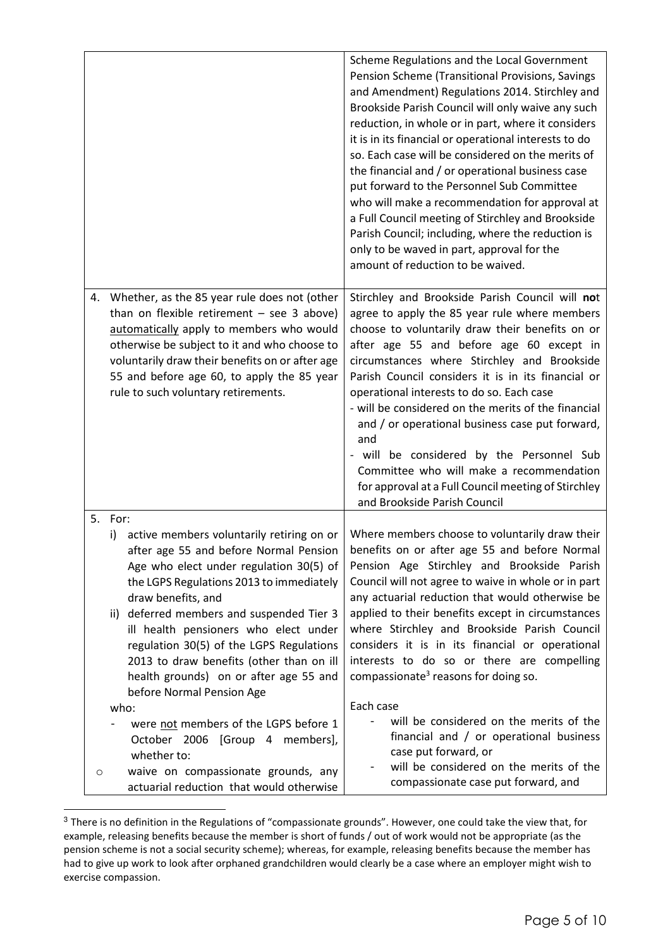|                                                                                                                                                                                                                                                                                                                                        | Scheme Regulations and the Local Government<br>Pension Scheme (Transitional Provisions, Savings<br>and Amendment) Regulations 2014. Stirchley and<br>Brookside Parish Council will only waive any such<br>reduction, in whole or in part, where it considers<br>it is in its financial or operational interests to do                                                                                                                                                                                                                                                                                                                              |
|----------------------------------------------------------------------------------------------------------------------------------------------------------------------------------------------------------------------------------------------------------------------------------------------------------------------------------------|----------------------------------------------------------------------------------------------------------------------------------------------------------------------------------------------------------------------------------------------------------------------------------------------------------------------------------------------------------------------------------------------------------------------------------------------------------------------------------------------------------------------------------------------------------------------------------------------------------------------------------------------------|
|                                                                                                                                                                                                                                                                                                                                        | so. Each case will be considered on the merits of<br>the financial and / or operational business case<br>put forward to the Personnel Sub Committee<br>who will make a recommendation for approval at<br>a Full Council meeting of Stirchley and Brookside<br>Parish Council; including, where the reduction is<br>only to be waved in part, approval for the<br>amount of reduction to be waived.                                                                                                                                                                                                                                                 |
| Whether, as the 85 year rule does not (other<br>4.<br>than on flexible retirement $-$ see 3 above)<br>automatically apply to members who would<br>otherwise be subject to it and who choose to<br>voluntarily draw their benefits on or after age<br>55 and before age 60, to apply the 85 year<br>rule to such voluntary retirements. | Stirchley and Brookside Parish Council will not<br>agree to apply the 85 year rule where members<br>choose to voluntarily draw their benefits on or<br>after age 55 and before age 60 except in<br>circumstances where Stirchley and Brookside<br>Parish Council considers it is in its financial or<br>operational interests to do so. Each case<br>- will be considered on the merits of the financial<br>and / or operational business case put forward,<br>and<br>- will be considered by the Personnel Sub<br>Committee who will make a recommendation<br>for approval at a Full Council meeting of Stirchley<br>and Brookside Parish Council |
| 5.<br>For:<br>active members voluntarily retiring on or<br>i)<br>after age 55 and before Normal Pension<br>Age who elect under regulation 30(5) of<br>the LGPS Regulations 2013 to immediately<br>draw benefits, and<br>deferred members and suspended Tier 3<br>ii)<br>ill health pensioners who elect under                          | Where members choose to voluntarily draw their<br>benefits on or after age 55 and before Normal<br>Pension Age Stirchley and Brookside Parish<br>Council will not agree to waive in whole or in part<br>any actuarial reduction that would otherwise be<br>applied to their benefits except in circumstances<br>where Stirchley and Brookside Parish Council                                                                                                                                                                                                                                                                                       |
| regulation 30(5) of the LGPS Regulations<br>2013 to draw benefits (other than on ill<br>health grounds) on or after age 55 and<br>before Normal Pension Age<br>who:<br>were not members of the LGPS before 1<br>October 2006 [Group 4 members],<br>whether to:                                                                         | considers it is in its financial or operational<br>interests to do so or there are compelling<br>compassionate <sup>3</sup> reasons for doing so.<br>Each case<br>will be considered on the merits of the<br>financial and / or operational business<br>case put forward, or                                                                                                                                                                                                                                                                                                                                                                       |
| waive on compassionate grounds, any<br>$\circ$<br>actuarial reduction that would otherwise                                                                                                                                                                                                                                             | will be considered on the merits of the<br>compassionate case put forward, and                                                                                                                                                                                                                                                                                                                                                                                                                                                                                                                                                                     |

 $3$  There is no definition in the Regulations of "compassionate grounds". However, one could take the view that, for example, releasing benefits because the member is short of funds / out of work would not be appropriate (as the pension scheme is not a social security scheme); whereas, for example, releasing benefits because the member has had to give up work to look after orphaned grandchildren would clearly be a case where an employer might wish to exercise compassion.

 $\overline{a}$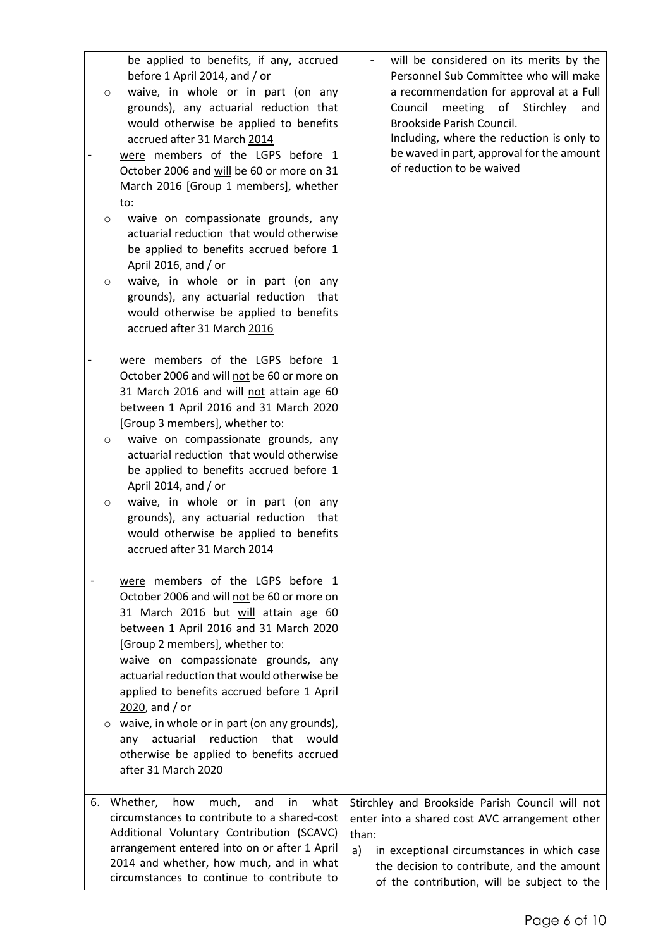| $\circ$            | be applied to benefits, if any, accrued<br>before 1 April 2014, and / or<br>waive, in whole or in part (on any<br>grounds), any actuarial reduction that<br>would otherwise be applied to benefits<br>accrued after 31 March 2014<br>were members of the LGPS before 1<br>October 2006 and will be 60 or more on 31<br>March 2016 [Group 1 members], whether<br>to: | will be considered on its merits by the<br>Personnel Sub Committee who will make<br>a recommendation for approval at a Full<br>Council<br>meeting<br>of<br>Stirchley<br>and<br>Brookside Parish Council.<br>Including, where the reduction is only to<br>be waved in part, approval for the amount<br>of reduction to be waived |
|--------------------|---------------------------------------------------------------------------------------------------------------------------------------------------------------------------------------------------------------------------------------------------------------------------------------------------------------------------------------------------------------------|---------------------------------------------------------------------------------------------------------------------------------------------------------------------------------------------------------------------------------------------------------------------------------------------------------------------------------|
| $\circ$<br>$\circ$ | waive on compassionate grounds, any<br>actuarial reduction that would otherwise<br>be applied to benefits accrued before 1<br>April 2016, and / or<br>waive, in whole or in part (on any<br>grounds), any actuarial reduction that                                                                                                                                  |                                                                                                                                                                                                                                                                                                                                 |
|                    | would otherwise be applied to benefits<br>accrued after 31 March 2016<br>were members of the LGPS before 1                                                                                                                                                                                                                                                          |                                                                                                                                                                                                                                                                                                                                 |
|                    | October 2006 and will not be 60 or more on<br>31 March 2016 and will not attain age 60<br>between 1 April 2016 and 31 March 2020<br>[Group 3 members], whether to:                                                                                                                                                                                                  |                                                                                                                                                                                                                                                                                                                                 |
| $\circ$<br>$\circ$ | waive on compassionate grounds, any<br>actuarial reduction that would otherwise<br>be applied to benefits accrued before 1<br>April 2014, and / or<br>waive, in whole or in part (on any                                                                                                                                                                            |                                                                                                                                                                                                                                                                                                                                 |
|                    | grounds), any actuarial reduction that<br>would otherwise be applied to benefits<br>accrued after 31 March 2014                                                                                                                                                                                                                                                     |                                                                                                                                                                                                                                                                                                                                 |
|                    | were members of the LGPS before 1<br>October 2006 and will not be 60 or more on<br>31 March 2016 but will attain age 60<br>between 1 April 2016 and 31 March 2020<br>[Group 2 members], whether to:<br>waive on compassionate grounds, any                                                                                                                          |                                                                                                                                                                                                                                                                                                                                 |
|                    | actuarial reduction that would otherwise be<br>applied to benefits accrued before 1 April<br>$2020$ , and / or                                                                                                                                                                                                                                                      |                                                                                                                                                                                                                                                                                                                                 |
|                    | $\circ$ waive, in whole or in part (on any grounds),<br>reduction<br>actuarial<br>that<br>would<br>any<br>otherwise be applied to benefits accrued<br>after 31 March 2020                                                                                                                                                                                           |                                                                                                                                                                                                                                                                                                                                 |
| 6.                 | much,<br>Whether,<br>how<br>and<br>what<br>in<br>circumstances to contribute to a shared-cost<br>Additional Voluntary Contribution (SCAVC)<br>arrangement entered into on or after 1 April<br>2014 and whether, how much, and in what<br>circumstances to continue to contribute to                                                                                 | Stirchley and Brookside Parish Council will not<br>enter into a shared cost AVC arrangement other<br>than:<br>a)<br>in exceptional circumstances in which case<br>the decision to contribute, and the amount<br>of the contribution, will be subject to the                                                                     |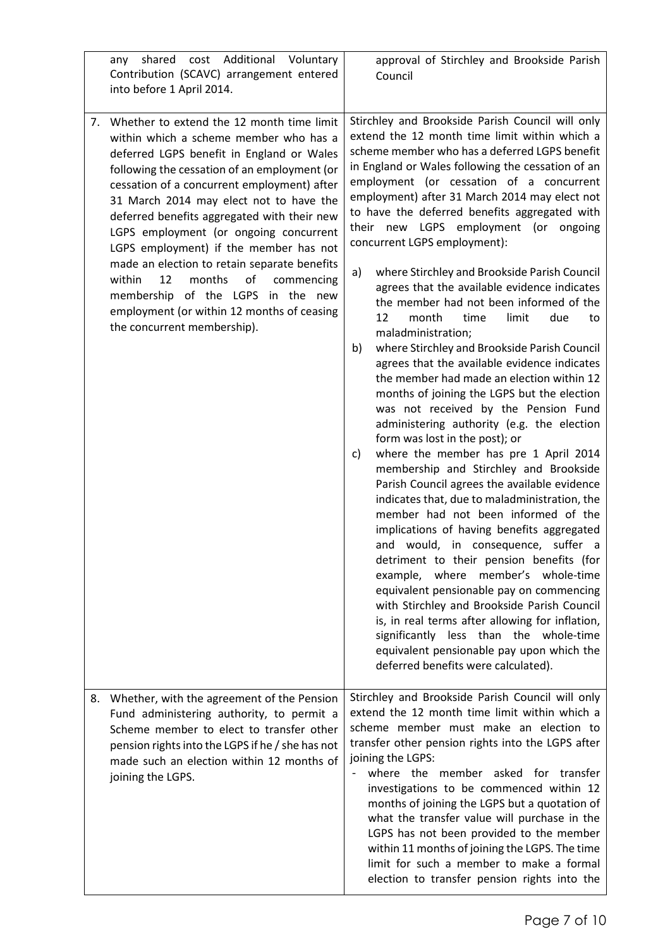|    | shared cost Additional Voluntary<br>any<br>Contribution (SCAVC) arrangement entered<br>into before 1 April 2014.                                                                                                                                                                                                                                                                                                                                                                                                                                                                                                              | approval of Stirchley and Brookside Parish<br>Council                                                                                                                                                                                                                                                                                                                                                                                                                                                                                                                                                                                                                                                                                                                                                                                                                                                                                                                                                                                                                                                                                                                                                                                                                                                                                                                                                                                                                                                                                                                                                                                                               |
|----|-------------------------------------------------------------------------------------------------------------------------------------------------------------------------------------------------------------------------------------------------------------------------------------------------------------------------------------------------------------------------------------------------------------------------------------------------------------------------------------------------------------------------------------------------------------------------------------------------------------------------------|---------------------------------------------------------------------------------------------------------------------------------------------------------------------------------------------------------------------------------------------------------------------------------------------------------------------------------------------------------------------------------------------------------------------------------------------------------------------------------------------------------------------------------------------------------------------------------------------------------------------------------------------------------------------------------------------------------------------------------------------------------------------------------------------------------------------------------------------------------------------------------------------------------------------------------------------------------------------------------------------------------------------------------------------------------------------------------------------------------------------------------------------------------------------------------------------------------------------------------------------------------------------------------------------------------------------------------------------------------------------------------------------------------------------------------------------------------------------------------------------------------------------------------------------------------------------------------------------------------------------------------------------------------------------|
| 7. | Whether to extend the 12 month time limit<br>within which a scheme member who has a<br>deferred LGPS benefit in England or Wales<br>following the cessation of an employment (or<br>cessation of a concurrent employment) after<br>31 March 2014 may elect not to have the<br>deferred benefits aggregated with their new<br>LGPS employment (or ongoing concurrent<br>LGPS employment) if the member has not<br>made an election to retain separate benefits<br>within<br>12<br>months<br>οf<br>commencing<br>membership of the LGPS in the new<br>employment (or within 12 months of ceasing<br>the concurrent membership). | Stirchley and Brookside Parish Council will only<br>extend the 12 month time limit within which a<br>scheme member who has a deferred LGPS benefit<br>in England or Wales following the cessation of an<br>employment (or cessation of a concurrent<br>employment) after 31 March 2014 may elect not<br>to have the deferred benefits aggregated with<br>their new LGPS employment (or ongoing<br>concurrent LGPS employment):<br>where Stirchley and Brookside Parish Council<br>a)<br>agrees that the available evidence indicates<br>the member had not been informed of the<br>12<br>limit<br>month<br>time<br>due<br>to<br>maladministration;<br>where Stirchley and Brookside Parish Council<br>b)<br>agrees that the available evidence indicates<br>the member had made an election within 12<br>months of joining the LGPS but the election<br>was not received by the Pension Fund<br>administering authority (e.g. the election<br>form was lost in the post); or<br>where the member has pre 1 April 2014<br>C)<br>membership and Stirchley and Brookside<br>Parish Council agrees the available evidence<br>indicates that, due to maladministration, the<br>member had not been informed of the<br>implications of having benefits aggregated<br>and would, in consequence, suffer a<br>detriment to their pension benefits (for<br>example, where<br>member's whole-time<br>equivalent pensionable pay on commencing<br>with Stirchley and Brookside Parish Council<br>is, in real terms after allowing for inflation,<br>significantly less than the whole-time<br>equivalent pensionable pay upon which the<br>deferred benefits were calculated). |
|    | 8. Whether, with the agreement of the Pension<br>Fund administering authority, to permit a<br>Scheme member to elect to transfer other<br>pension rights into the LGPS if he / she has not<br>made such an election within 12 months of<br>joining the LGPS.                                                                                                                                                                                                                                                                                                                                                                  | Stirchley and Brookside Parish Council will only<br>extend the 12 month time limit within which a<br>scheme member must make an election to<br>transfer other pension rights into the LGPS after<br>joining the LGPS:<br>where the member asked for transfer<br>investigations to be commenced within 12<br>months of joining the LGPS but a quotation of<br>what the transfer value will purchase in the<br>LGPS has not been provided to the member<br>within 11 months of joining the LGPS. The time<br>limit for such a member to make a formal<br>election to transfer pension rights into the                                                                                                                                                                                                                                                                                                                                                                                                                                                                                                                                                                                                                                                                                                                                                                                                                                                                                                                                                                                                                                                                 |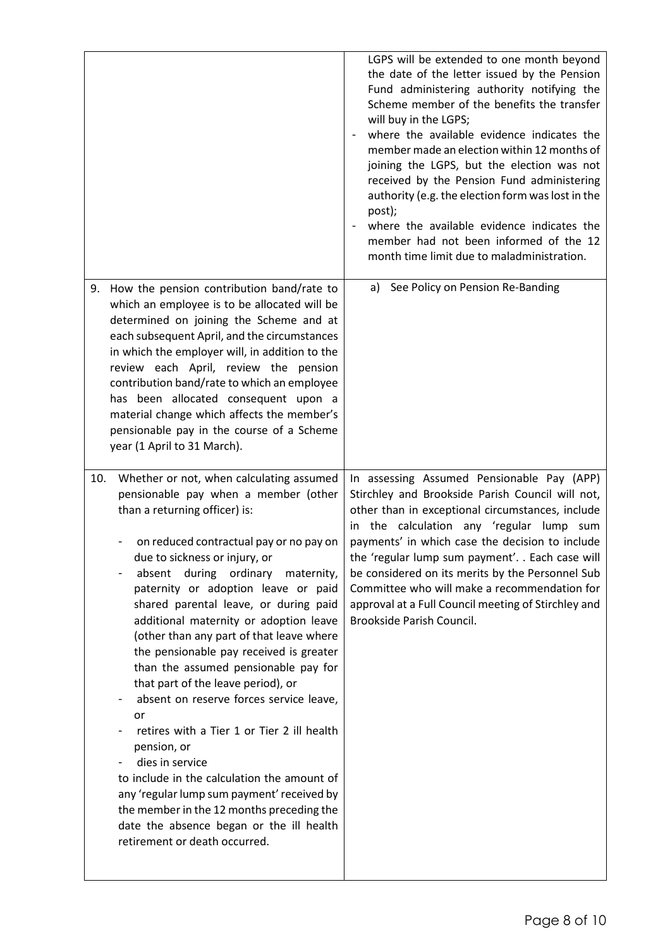|                                                                                                                                                                                                                                                                                                                                                                                                                                                                                                                                                                                                                                                                                                                                                                                                                                                                                                           | LGPS will be extended to one month beyond<br>the date of the letter issued by the Pension<br>Fund administering authority notifying the<br>Scheme member of the benefits the transfer<br>will buy in the LGPS;<br>where the available evidence indicates the<br>member made an election within 12 months of<br>joining the LGPS, but the election was not<br>received by the Pension Fund administering<br>authority (e.g. the election form was lost in the<br>post);<br>where the available evidence indicates the<br>member had not been informed of the 12<br>month time limit due to maladministration. |
|-----------------------------------------------------------------------------------------------------------------------------------------------------------------------------------------------------------------------------------------------------------------------------------------------------------------------------------------------------------------------------------------------------------------------------------------------------------------------------------------------------------------------------------------------------------------------------------------------------------------------------------------------------------------------------------------------------------------------------------------------------------------------------------------------------------------------------------------------------------------------------------------------------------|--------------------------------------------------------------------------------------------------------------------------------------------------------------------------------------------------------------------------------------------------------------------------------------------------------------------------------------------------------------------------------------------------------------------------------------------------------------------------------------------------------------------------------------------------------------------------------------------------------------|
| How the pension contribution band/rate to<br>9.<br>which an employee is to be allocated will be<br>determined on joining the Scheme and at<br>each subsequent April, and the circumstances<br>in which the employer will, in addition to the<br>review each April, review the pension<br>contribution band/rate to which an employee<br>has been allocated consequent upon a<br>material change which affects the member's<br>pensionable pay in the course of a Scheme<br>year (1 April to 31 March).                                                                                                                                                                                                                                                                                                                                                                                                    | a) See Policy on Pension Re-Banding                                                                                                                                                                                                                                                                                                                                                                                                                                                                                                                                                                          |
| Whether or not, when calculating assumed<br>10.<br>pensionable pay when a member (other<br>than a returning officer) is:<br>on reduced contractual pay or no pay on<br>due to sickness or injury, or<br>during<br>ordinary<br>absent<br>maternity,<br>paternity or adoption leave or paid<br>shared parental leave, or during paid<br>additional maternity or adoption leave<br>(other than any part of that leave where<br>the pensionable pay received is greater<br>than the assumed pensionable pay for<br>that part of the leave period), or<br>absent on reserve forces service leave,<br>or<br>retires with a Tier 1 or Tier 2 ill health<br>pension, or<br>dies in service<br>to include in the calculation the amount of<br>any 'regular lump sum payment' received by<br>the member in the 12 months preceding the<br>date the absence began or the ill health<br>retirement or death occurred. | In assessing Assumed Pensionable Pay (APP)<br>Stirchley and Brookside Parish Council will not,<br>other than in exceptional circumstances, include<br>in the calculation any 'regular lump sum<br>payments' in which case the decision to include<br>the 'regular lump sum payment' Each case will<br>be considered on its merits by the Personnel Sub<br>Committee who will make a recommendation for<br>approval at a Full Council meeting of Stirchley and<br>Brookside Parish Council.                                                                                                                   |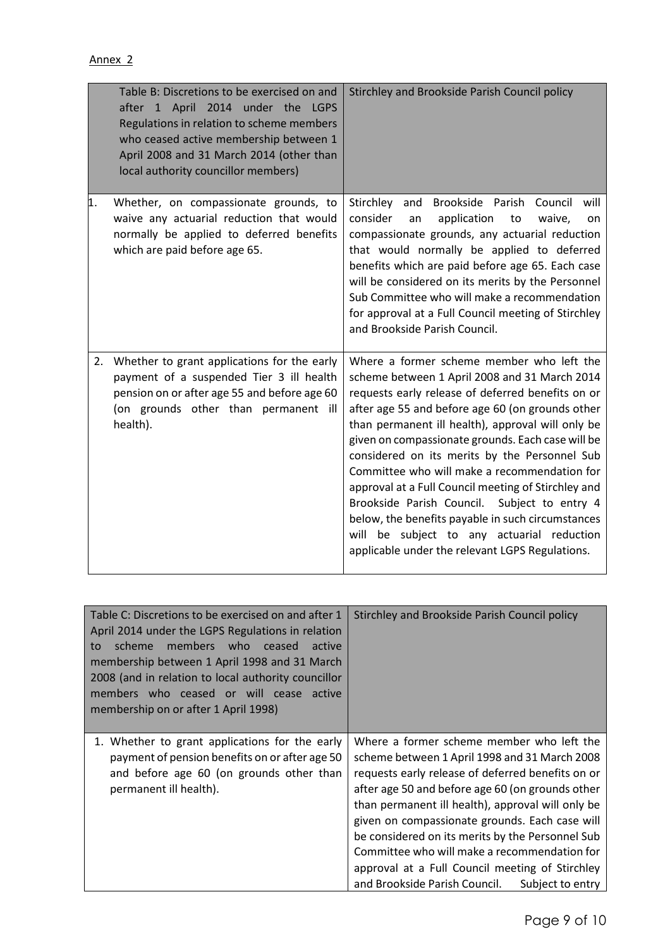|    | Table B: Discretions to be exercised on and<br>after 1 April 2014 under the LGPS<br>Regulations in relation to scheme members<br>who ceased active membership between 1<br>April 2008 and 31 March 2014 (other than<br>local authority councillor members) | Stirchley and Brookside Parish Council policy                                                                                                                                                                                                                                                                                                                                                                                                                                                                                                                                                                                                                               |
|----|------------------------------------------------------------------------------------------------------------------------------------------------------------------------------------------------------------------------------------------------------------|-----------------------------------------------------------------------------------------------------------------------------------------------------------------------------------------------------------------------------------------------------------------------------------------------------------------------------------------------------------------------------------------------------------------------------------------------------------------------------------------------------------------------------------------------------------------------------------------------------------------------------------------------------------------------------|
| 1. | Whether, on compassionate grounds, to<br>waive any actuarial reduction that would<br>normally be applied to deferred benefits<br>which are paid before age 65.                                                                                             | Stirchley<br>and Brookside Parish Council will<br>consider<br>application<br>waive,<br>an<br>to<br>on<br>compassionate grounds, any actuarial reduction<br>that would normally be applied to deferred<br>benefits which are paid before age 65. Each case<br>will be considered on its merits by the Personnel<br>Sub Committee who will make a recommendation<br>for approval at a Full Council meeting of Stirchley<br>and Brookside Parish Council.                                                                                                                                                                                                                      |
| 2. | Whether to grant applications for the early<br>payment of a suspended Tier 3 ill health<br>pension on or after age 55 and before age 60<br>(on grounds other than permanent ill<br>health).                                                                | Where a former scheme member who left the<br>scheme between 1 April 2008 and 31 March 2014<br>requests early release of deferred benefits on or<br>after age 55 and before age 60 (on grounds other<br>than permanent ill health), approval will only be<br>given on compassionate grounds. Each case will be<br>considered on its merits by the Personnel Sub<br>Committee who will make a recommendation for<br>approval at a Full Council meeting of Stirchley and<br>Brookside Parish Council. Subject to entry 4<br>below, the benefits payable in such circumstances<br>will be subject to any actuarial reduction<br>applicable under the relevant LGPS Regulations. |

| Table C: Discretions to be exercised on and after 1<br>April 2014 under the LGPS Regulations in relation<br>members<br>scheme<br>who<br>ceased<br>active<br>to<br>membership between 1 April 1998 and 31 March<br>2008 (and in relation to local authority councillor<br>members who ceased or will cease active<br>membership on or after 1 April 1998) | Stirchley and Brookside Parish Council policy                                                                                                                                                                                                                                                                                                                                                                                                                                                                          |
|----------------------------------------------------------------------------------------------------------------------------------------------------------------------------------------------------------------------------------------------------------------------------------------------------------------------------------------------------------|------------------------------------------------------------------------------------------------------------------------------------------------------------------------------------------------------------------------------------------------------------------------------------------------------------------------------------------------------------------------------------------------------------------------------------------------------------------------------------------------------------------------|
| 1. Whether to grant applications for the early<br>payment of pension benefits on or after age 50<br>and before age 60 (on grounds other than<br>permanent ill health).                                                                                                                                                                                   | Where a former scheme member who left the<br>scheme between 1 April 1998 and 31 March 2008<br>requests early release of deferred benefits on or<br>after age 50 and before age 60 (on grounds other<br>than permanent ill health), approval will only be<br>given on compassionate grounds. Each case will<br>be considered on its merits by the Personnel Sub<br>Committee who will make a recommendation for<br>approval at a Full Council meeting of Stirchley<br>and Brookside Parish Council.<br>Subject to entry |